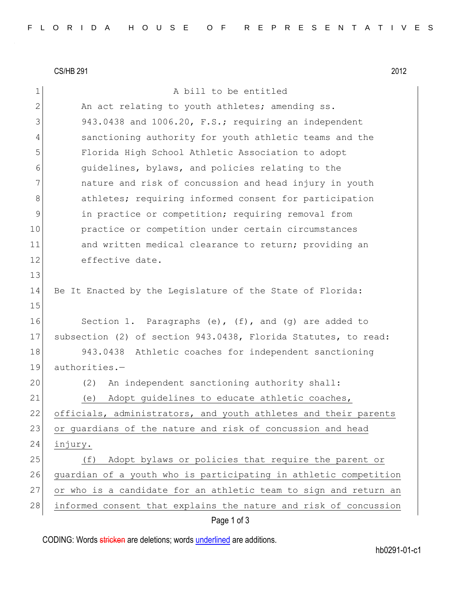CS/HB 291 2012

1 A bill to be entitled 2 An act relating to youth athletes; amending ss. 3 943.0438 and 1006.20, F.S.; requiring an independent 4 sanctioning authority for youth athletic teams and the 5 Florida High School Athletic Association to adopt 6 guidelines, bylaws, and policies relating to the 7 1 and nature and risk of concussion and head injury in youth 8 athletes; requiring informed consent for participation 9 10 11 in practice or competition; requiring removal from 10 practice or competition under certain circumstances 11 and written medical clearance to return; providing an 12 effective date. 13 14 Be It Enacted by the Legislature of the State of Florida: 15 16 Section 1. Paragraphs (e), (f), and (g) are added to 17 subsection (2) of section 943.0438, Florida Statutes, to read: 18 943.0438 Athletic coaches for independent sanctioning 19 authorities.— 20 (2) An independent sanctioning authority shall: 21 (e) Adopt guidelines to educate athletic coaches, 22 officials, administrators, and youth athletes and their parents 23 or guardians of the nature and risk of concussion and head 24 injury. 25 (f) Adopt bylaws or policies that require the parent or 26 guardian of a youth who is participating in athletic competition 27 or who is a candidate for an athletic team to sign and return an 28 informed consent that explains the nature and risk of concussion

## Page 1 of 3

CODING: Words stricken are deletions; words underlined are additions.

hb0291-01-c1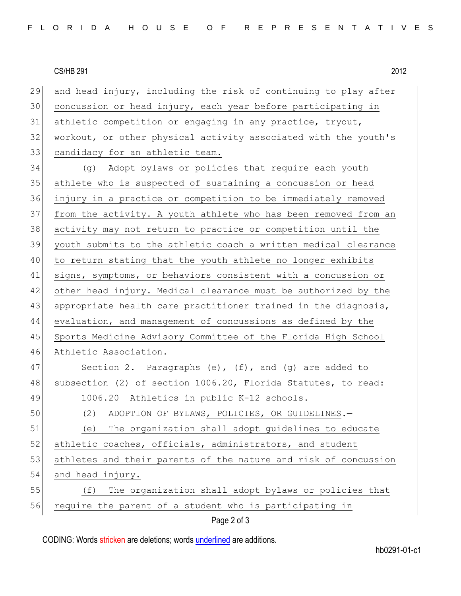## CS/HB 291 2012

| 29 | and head injury, including the risk of continuing to play after |
|----|-----------------------------------------------------------------|
| 30 | concussion or head injury, each year before participating in    |
| 31 | athletic competition or engaging in any practice, tryout,       |
| 32 | workout, or other physical activity associated with the youth's |
| 33 | candidacy for an athletic team.                                 |
| 34 | (g) Adopt bylaws or policies that require each youth            |
| 35 | athlete who is suspected of sustaining a concussion or head     |
| 36 | injury in a practice or competition to be immediately removed   |
| 37 | from the activity. A youth athlete who has been removed from an |
| 38 | activity may not return to practice or competition until the    |
| 39 | youth submits to the athletic coach a written medical clearance |
| 40 | to return stating that the youth athlete no longer exhibits     |
| 41 | signs, symptoms, or behaviors consistent with a concussion or   |
| 42 | other head injury. Medical clearance must be authorized by the  |
| 43 | appropriate health care practitioner trained in the diagnosis,  |
| 44 | evaluation, and management of concussions as defined by the     |
| 45 | Sports Medicine Advisory Committee of the Florida High School   |
| 46 | Athletic Association.                                           |
| 47 | Section 2. Paragraphs $(e)$ , $(f)$ , and $(g)$ are added to    |
| 48 | subsection (2) of section 1006.20, Florida Statutes, to read:   |
| 49 | 1006.20 Athletics in public K-12 schools.-                      |
| 50 | ADOPTION OF BYLAWS, POLICIES, OR GUIDELINES.-<br>(2)            |
| 51 | The organization shall adopt quidelines to educate<br>(e)       |
| 52 | athletic coaches, officials, administrators, and student        |
| 53 | athletes and their parents of the nature and risk of concussion |
| 54 | and head injury.                                                |
| 55 | The organization shall adopt bylaws or policies that<br>(f)     |
| 56 | require the parent of a student who is participating in         |
|    | Page 2 of 3                                                     |

CODING: Words stricken are deletions; words underlined are additions.